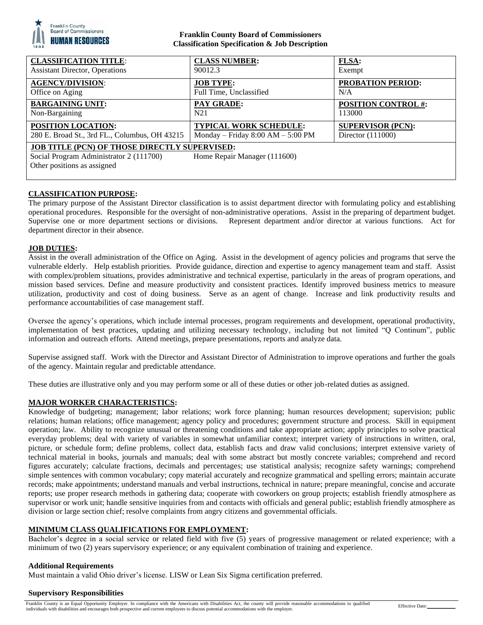

## **Franklin County Board of Commissioners Classification Specification & Job Description**

| <b>CLASSIFICATION TITLE:</b>                                                                                                                                   | <b>CLASS NUMBER:</b>                | <b>FLSA:</b>               |
|----------------------------------------------------------------------------------------------------------------------------------------------------------------|-------------------------------------|----------------------------|
| <b>Assistant Director, Operations</b>                                                                                                                          | 90012.3                             | Exempt                     |
| <b>AGENCY/DIVISION:</b>                                                                                                                                        | <b>JOB TYPE:</b>                    | <b>PROBATION PERIOD:</b>   |
| Office on Aging                                                                                                                                                | Full Time, Unclassified             | N/A                        |
| <b>BARGAINING UNIT:</b>                                                                                                                                        | <b>PAY GRADE:</b>                   | <b>POSITION CONTROL #:</b> |
| Non-Bargaining                                                                                                                                                 | N <sub>2</sub> 1                    | 113000                     |
| POSITION LOCATION:                                                                                                                                             | <b>TYPICAL WORK SCHEDULE:</b>       | <b>SUPERVISOR (PCN):</b>   |
| 280 E. Broad St., 3rd FL., Columbus, OH 43215                                                                                                                  | Monday – Friday $8:00 AM - 5:00 PM$ | Director $(111000)$        |
| <b>JOB TITLE (PCN) OF THOSE DIRECTLY SUPERVISED:</b><br>Social Program Administrator 2 (111700)<br>Home Repair Manager (111600)<br>Other positions as assigned |                                     |                            |

## **CLASSIFICATION PURPOSE:**

The primary purpose of the Assistant Director classification is to assist department director with formulating policy and establishing operational procedures. Responsible for the oversight of non-administrative operations. Assist in the preparing of department budget. Supervise one or more department sections or divisions. Represent department and/or director at various functions. Act for department director in their absence.

## **JOB DUTIES:**

Assist in the overall administration of the Office on Aging. Assist in the development of agency policies and programs that serve the vulnerable elderly. Help establish priorities. Provide guidance, direction and expertise to agency management team and staff. Assist with complex/problem situations, provides administrative and technical expertise, particularly in the areas of program operations, and mission based services. Define and measure productivity and consistent practices. Identify improved business metrics to measure utilization, productivity and cost of doing business. Serve as an agent of change. Increase and link productivity results and performance accountabilities of case management staff.

Oversee the agency's operations, which include internal processes, program requirements and development, operational productivity, implementation of best practices, updating and utilizing necessary technology, including but not limited "Q Continum", public information and outreach efforts. Attend meetings, prepare presentations, reports and analyze data.

Supervise assigned staff. Work with the Director and Assistant Director of Administration to improve operations and further the goals of the agency. Maintain regular and predictable attendance.

These duties are illustrative only and you may perform some or all of these duties or other job-related duties as assigned.

## **MAJOR WORKER CHARACTERISTICS:**

Knowledge of budgeting; management; labor relations; work force planning; human resources development; supervision; public relations; human relations; office management; agency policy and procedures; government structure and process. Skill in equipment operation; law. Ability to recognize unusual or threatening conditions and take appropriate action; apply principles to solve practical everyday problems; deal with variety of variables in somewhat unfamiliar context; interpret variety of instructions in written, oral, picture, or schedule form; define problems, collect data, establish facts and draw valid conclusions; interpret extensive variety of technical material in books, journals and manuals; deal with some abstract but mostly concrete variables; comprehend and record figures accurately; calculate fractions, decimals and percentages; use statistical analysis; recognize safety warnings; comprehend simple sentences with common vocabulary; copy material accurately and recognize grammatical and spelling errors; maintain accurate records; make appointments; understand manuals and verbal instructions, technical in nature; prepare meaningful, concise and accurate reports; use proper research methods in gathering data; cooperate with coworkers on group projects; establish friendly atmosphere as supervisor or work unit; handle sensitive inquiries from and contacts with officials and general public; establish friendly atmosphere as division or large section chief; resolve complaints from angry citizens and governmental officials.

## **MINIMUM CLASS QUALIFICATIONS FOR EMPLOYMENT:**

Bachelor's degree in a social service or related field with five (5) years of progressive management or related experience; with a minimum of two (2) years supervisory experience; or any equivalent combination of training and experience.

## **Additional Requirements**

Must maintain a valid Ohio driver's license. LISW or Lean Six Sigma certification preferred.

## **Supervisory Responsibilities**

Franklin County is an Equal Opportunity Employer. In compliance with the Americans with Disabilities Act, the county will provide reasonable accommodations to qualified Franklin County is an Equal Opportunity Employer. In compliance with the Americans with Disabilities Act, the county will provide reasonable accommodations to qualified<br>individuals with disabilities and encourages both pro